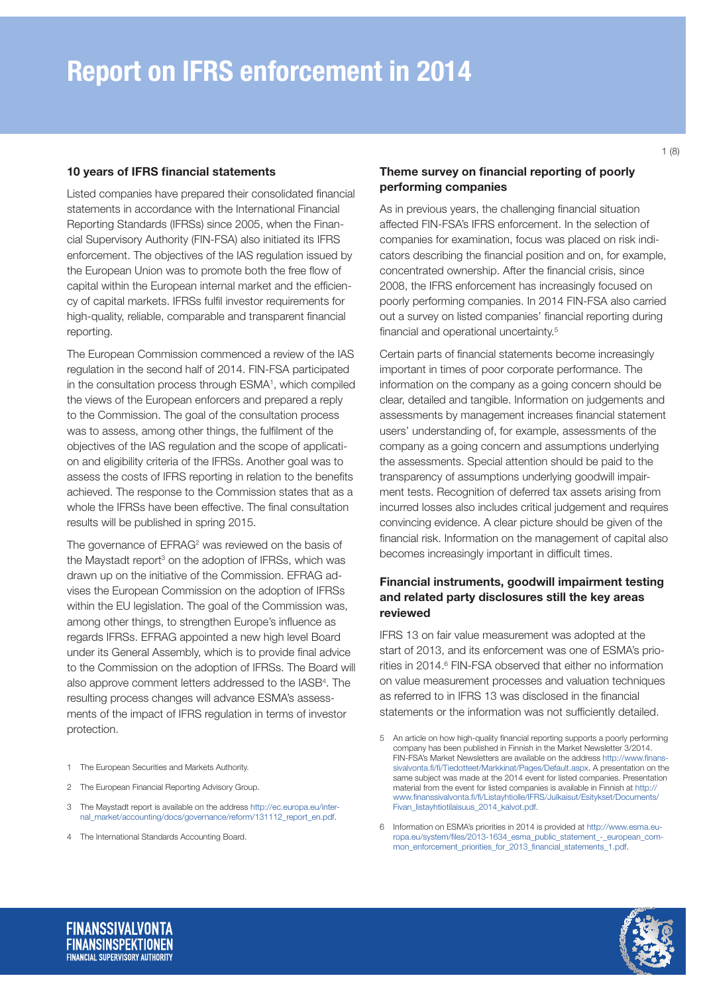### 10 years of IFRS financial statements

Listed companies have prepared their consolidated financial statements in accordance with the International Financial Reporting Standards (IFRSs) since 2005, when the Financial Supervisory Authority (FIN-FSA) also initiated its IFRS enforcement. The objectives of the IAS regulation issued by the European Union was to promote both the free flow of capital within the European internal market and the efficiency of capital markets. IFRSs fulfil investor requirements for high-quality, reliable, comparable and transparent financial reporting.

The European Commission commenced a review of the IAS regulation in the second half of 2014. FIN-FSA participated in the consultation process through ESMA<sup>1</sup>, which compiled the views of the European enforcers and prepared a reply to the Commission. The goal of the consultation process was to assess, among other things, the fulfilment of the objectives of the IAS regulation and the scope of application and eligibility criteria of the IFRSs. Another goal was to assess the costs of IFRS reporting in relation to the benefits achieved. The response to the Commission states that as a whole the IFRSs have been effective. The final consultation results will be published in spring 2015.

The governance of EFRAG<sup>2</sup> was reviewed on the basis of the Maystadt report<sup>3</sup> on the adoption of IFRSs, which was drawn up on the initiative of the Commission. EFRAG advises the European Commission on the adoption of IFRSs within the EU legislation. The goal of the Commission was, among other things, to strengthen Europe's influence as regards IFRSs. EFRAG appointed a new high level Board under its General Assembly, which is to provide final advice to the Commission on the adoption of IFRSs. The Board will also approve comment letters addressed to the IASB4 . The resulting process changes will advance ESMA's assessments of the impact of IFRS regulation in terms of investor protection.

- 2 The European Financial Reporting Advisory Group.
- 3 The Maystadt report is available on the address [http://ec.europa.eu/inter](http://ec.europa.eu/internal_market/accounting/docs/governance/reform/131112_report_en.pdf)[nal\\_market/accounting/docs/governance/reform/131112\\_report\\_en.pdf](http://ec.europa.eu/internal_market/accounting/docs/governance/reform/131112_report_en.pdf).
- 4 The International Standards Accounting Board.

## Theme survey on financial reporting of poorly performing companies

As in previous years, the challenging financial situation affected FIN-FSA's IFRS enforcement. In the selection of companies for examination, focus was placed on risk indicators describing the financial position and on, for example, concentrated ownership. After the financial crisis, since 2008, the IFRS enforcement has increasingly focused on poorly performing companies. In 2014 FIN-FSA also carried out a survey on listed companies' financial reporting during financial and operational uncertainty.<sup>5</sup>

Certain parts of financial statements become increasingly important in times of poor corporate performance. The information on the company as a going concern should be clear, detailed and tangible. Information on judgements and assessments by management increases financial statement users' understanding of, for example, assessments of the company as a going concern and assumptions underlying the assessments. Special attention should be paid to the transparency of assumptions underlying goodwill impairment tests. Recognition of deferred tax assets arising from incurred losses also includes critical judgement and requires convincing evidence. A clear picture should be given of the financial risk. Information on the management of capital also becomes increasingly important in difficult times.

## Financial instruments, goodwill impairment testing and related party disclosures still the key areas reviewed

IFRS 13 on fair value measurement was adopted at the start of 2013, and its enforcement was one of ESMA's priorities in 2014.<sup>6</sup> FIN-FSA observed that either no information on value measurement processes and valuation techniques as referred to in IFRS 13 was disclosed in the financial statements or the information was not sufficiently detailed.

6 Information on ESMA's priorities in 2014 is provided at [http://www.esma.eu](http://www.esma.europa.eu/system/files/2013-1634_esma_public_statement_-_european_common_enforcement_priorities_for_2013_financial_statements_1.pdf)[ropa.eu/system/files/2013-1634\\_esma\\_public\\_statement\\_-\\_european\\_com](http://www.esma.europa.eu/system/files/2013-1634_esma_public_statement_-_european_common_enforcement_priorities_for_2013_financial_statements_1.pdf)[mon\\_enforcement\\_priorities\\_for\\_2013\\_financial\\_statements\\_1.pdf.](http://www.esma.europa.eu/system/files/2013-1634_esma_public_statement_-_european_common_enforcement_priorities_for_2013_financial_statements_1.pdf)



<sup>1</sup> The European Securities and Markets Authority.

<sup>5</sup> An article on how high-quality financial reporting supports a poorly performing company has been published in Finnish in the Market Newsletter 3/2014. FIN-FSA's Market Newsletters are available on the address [http://www.finans](http://www.finanssivalvonta.fi/fi/Tiedotteet/Markkinat/Pages/Default.aspx)[sivalvonta.fi/fi/Tiedotteet/Markkinat/Pages/Default.aspx](http://www.finanssivalvonta.fi/fi/Tiedotteet/Markkinat/Pages/Default.aspx). A presentation on the same subject was made at the 2014 event for listed companies. Presentation material from the event for listed companies is available in Finnish at [http://](http://www.finanssivalvonta.fi/fi/Listayhtiolle/IFRS/Julkaisut/Esitykset/Documents/Fivan_listayhtiotilaisuus_2014_kalvot.pdf) [www.finanssivalvonta.fi/fi/Listayhtiolle/IFRS/Julkaisut/Esitykset/Documents/](http://www.finanssivalvonta.fi/fi/Listayhtiolle/IFRS/Julkaisut/Esitykset/Documents/Fivan_listayhtiotilaisuus_2014_kalvot.pdf) [Fivan\\_listayhtiotilaisuus\\_2014\\_kalvot.pdf](http://www.finanssivalvonta.fi/fi/Listayhtiolle/IFRS/Julkaisut/Esitykset/Documents/Fivan_listayhtiotilaisuus_2014_kalvot.pdf).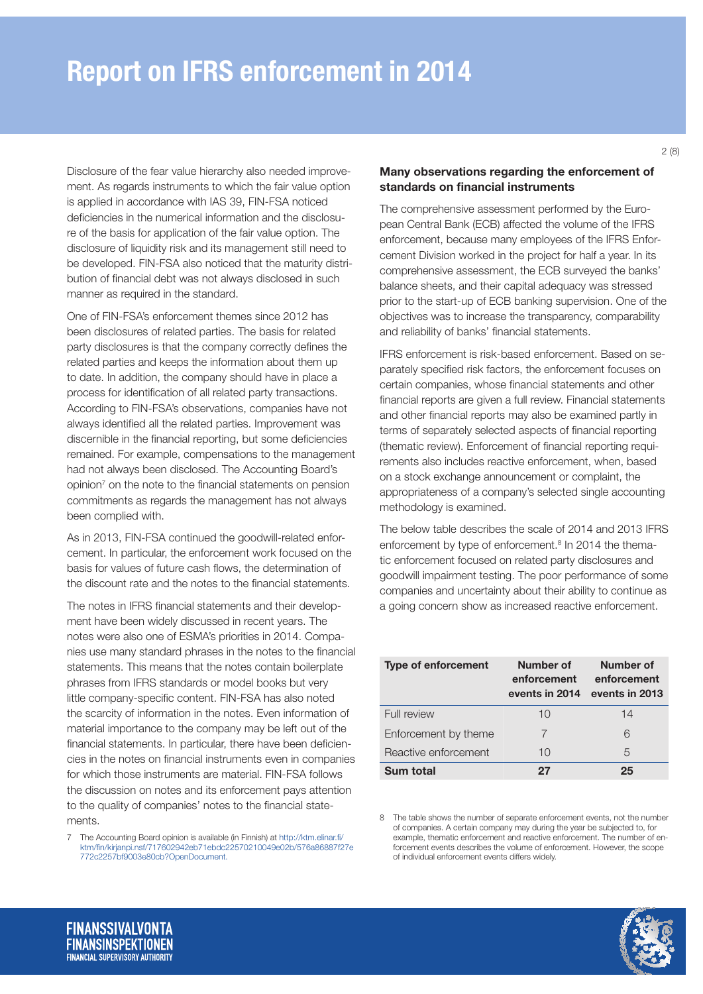Disclosure of the fear value hierarchy also needed improvement. As regards instruments to which the fair value option is applied in accordance with IAS 39, FIN-FSA noticed deficiencies in the numerical information and the disclosure of the basis for application of the fair value option. The disclosure of liquidity risk and its management still need to be developed. FIN-FSA also noticed that the maturity distribution of financial debt was not always disclosed in such manner as required in the standard.

One of FIN-FSA's enforcement themes since 2012 has been disclosures of related parties. The basis for related party disclosures is that the company correctly defines the related parties and keeps the information about them up to date. In addition, the company should have in place a process for identification of all related party transactions. According to FIN-FSA's observations, companies have not always identified all the related parties. Improvement was discernible in the financial reporting, but some deficiencies remained. For example, compensations to the management had not always been disclosed. The Accounting Board's opinion<sup>7</sup> on the note to the financial statements on pension commitments as regards the management has not always been complied with.

As in 2013, FIN-FSA continued the goodwill-related enforcement. In particular, the enforcement work focused on the basis for values of future cash flows, the determination of the discount rate and the notes to the financial statements.

The notes in IFRS financial statements and their development have been widely discussed in recent years. The notes were also one of ESMA's priorities in 2014. Companies use many standard phrases in the notes to the financial statements. This means that the notes contain boilerplate phrases from IFRS standards or model books but very little company-specific content. FIN-FSA has also noted the scarcity of information in the notes. Even information of material importance to the company may be left out of the financial statements. In particular, there have been deficiencies in the notes on financial instruments even in companies for which those instruments are material. FIN-FSA follows the discussion on notes and its enforcement pays attention to the quality of companies' notes to the financial statements.

7 The Accounting Board opinion is available (in Finnish) at [http://ktm.elinar.fi/](http://ktm.elinar.fi/ktm/fin/kirjanpi.nsf/717602942eb71ebdc22570210049e02b/576a86887f27e772c2257bf9003e80cb?OpenDocument) [ktm/fin/kirjanpi.nsf/717602942eb71ebdc22570210049e02b/576a86887f27e](http://ktm.elinar.fi/ktm/fin/kirjanpi.nsf/717602942eb71ebdc22570210049e02b/576a86887f27e772c2257bf9003e80cb?OpenDocument) [772c2257bf9003e80cb?OpenDocument](http://ktm.elinar.fi/ktm/fin/kirjanpi.nsf/717602942eb71ebdc22570210049e02b/576a86887f27e772c2257bf9003e80cb?OpenDocument).

## Many observations regarding the enforcement of standards on financial instruments

The comprehensive assessment performed by the European Central Bank (ECB) affected the volume of the IFRS enforcement, because many employees of the IFRS Enforcement Division worked in the project for half a year. In its comprehensive assessment, the ECB surveyed the banks' balance sheets, and their capital adequacy was stressed prior to the start-up of ECB banking supervision. One of the objectives was to increase the transparency, comparability and reliability of banks' financial statements.

IFRS enforcement is risk-based enforcement. Based on separately specified risk factors, the enforcement focuses on certain companies, whose financial statements and other financial reports are given a full review. Financial statements and other financial reports may also be examined partly in terms of separately selected aspects of financial reporting (thematic review). Enforcement of financial reporting requirements also includes reactive enforcement, when, based on a stock exchange announcement or complaint, the appropriateness of a company's selected single accounting methodology is examined.

The below table describes the scale of 2014 and 2013 IFRS enforcement by type of enforcement.<sup>8</sup> In 2014 the thematic enforcement focused on related party disclosures and goodwill impairment testing. The poor performance of some companies and uncertainty about their ability to continue as a going concern show as increased reactive enforcement.

| <b>Type of enforcement</b> | Number of<br>enforcement<br>events in 2014 | Number of<br>enforcement<br>events in 2013 |
|----------------------------|--------------------------------------------|--------------------------------------------|
| Full review                | 10                                         | 14                                         |
| Enforcement by theme       | 7                                          | 6                                          |
| Reactive enforcement       | 10                                         | 5                                          |
| Sum total                  | 27                                         | 25                                         |

8 The table shows the number of separate enforcement events, not the number of companies. A certain company may during the year be subjected to, for example, thematic enforcement and reactive enforcement. The number of enforcement events describes the volume of enforcement. However, the scope of individual enforcement events differs widely.

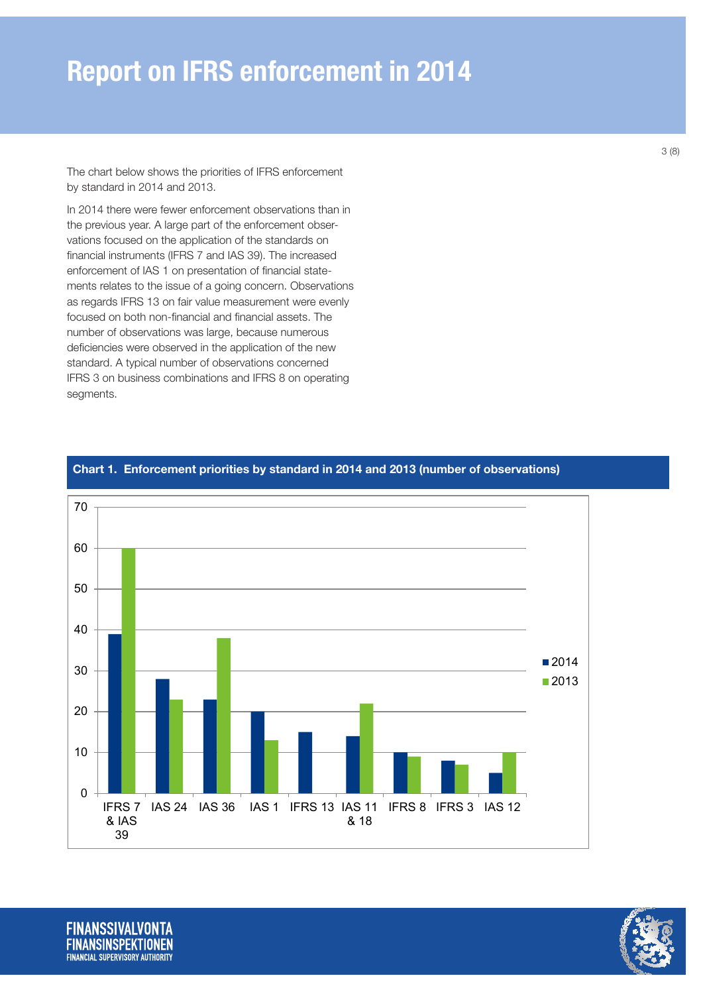The chart below shows the priorities of IFRS enforcement by standard in 2014 and 2013.

In 2014 there were fewer enforcement observations than in the previous year. A large part of the enforcement observations focused on the application of the standards on financial instruments (IFRS 7 and IAS 39). The increased enforcement of IAS 1 on presentation of financial statements relates to the issue of a going concern. Observations as regards IFRS 13 on fair value measurement were evenly focused on both non-financial and financial assets. The number of observations was large, because numerous deficiencies were observed in the application of the new standard. A typical number of observations concerned IFRS 3 on business combinations and IFRS 8 on operating segments.



### Chart 1. Enforcement priorities by standard in 2014 and 2013 (number of observations)

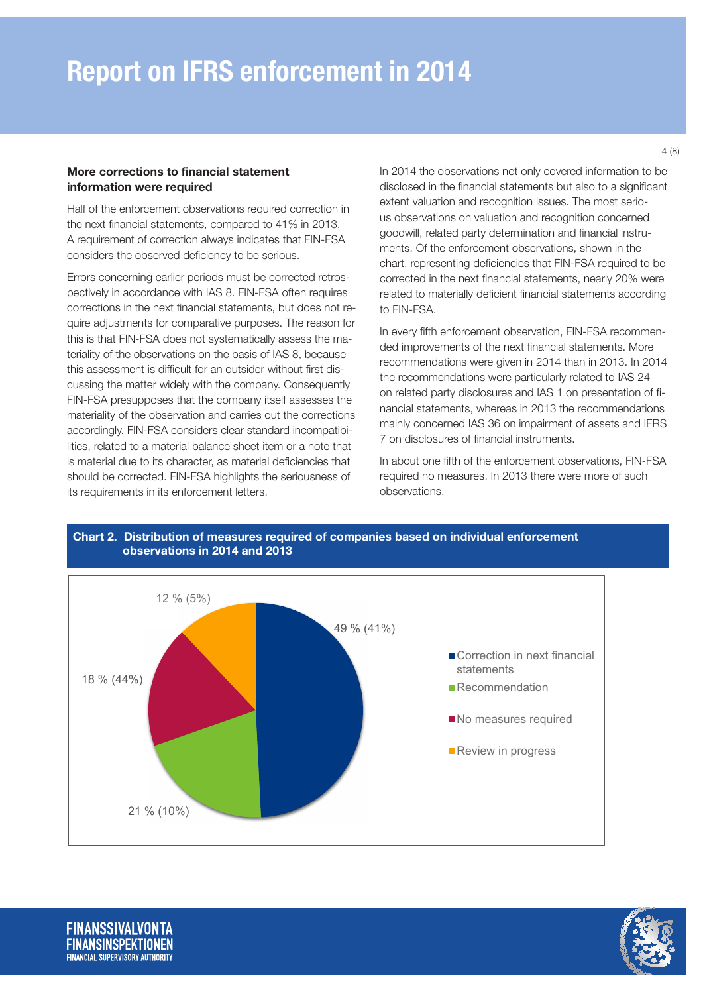#### More corrections to financial statement information were required

Half of the enforcement observations required correction in the next financial statements, compared to 41% in 2013. A requirement of correction always indicates that FIN-FSA considers the observed deficiency to be serious.

Errors concerning earlier periods must be corrected retrospectively in accordance with IAS 8. FIN-FSA often requires corrections in the next financial statements, but does not require adjustments for comparative purposes. The reason for this is that FIN-FSA does not systematically assess the materiality of the observations on the basis of IAS 8, because this assessment is difficult for an outsider without first discussing the matter widely with the company. Consequently FIN-FSA presupposes that the company itself assesses the materiality of the observation and carries out the corrections accordingly. FIN-FSA considers clear standard incompatibilities, related to a material balance sheet item or a note that is material due to its character, as material deficiencies that should be corrected. FIN-FSA highlights the seriousness of its requirements in its enforcement letters.

In 2014 the observations not only covered information to be disclosed in the financial statements but also to a significant extent valuation and recognition issues. The most serious observations on valuation and recognition concerned goodwill, related party determination and financial instruments. Of the enforcement observations, shown in the chart, representing deficiencies that FIN-FSA required to be corrected in the next financial statements, nearly 20% were related to materially deficient financial statements according to FIN-FSA.

In every fifth enforcement observation, FIN-FSA recommended improvements of the next financial statements. More recommendations were given in 2014 than in 2013. In 2014 the recommendations were particularly related to IAS 24 on related party disclosures and IAS 1 on presentation of financial statements, whereas in 2013 the recommendations mainly concerned IAS 36 on impairment of assets and IFRS 7 on disclosures of financial instruments.

In about one fifth of the enforcement observations, FIN-FSA required no measures. In 2013 there were more of such observations.



# Chart 2. Distribution of measures required of companies based on individual enforcement observations in 2014 and 2013

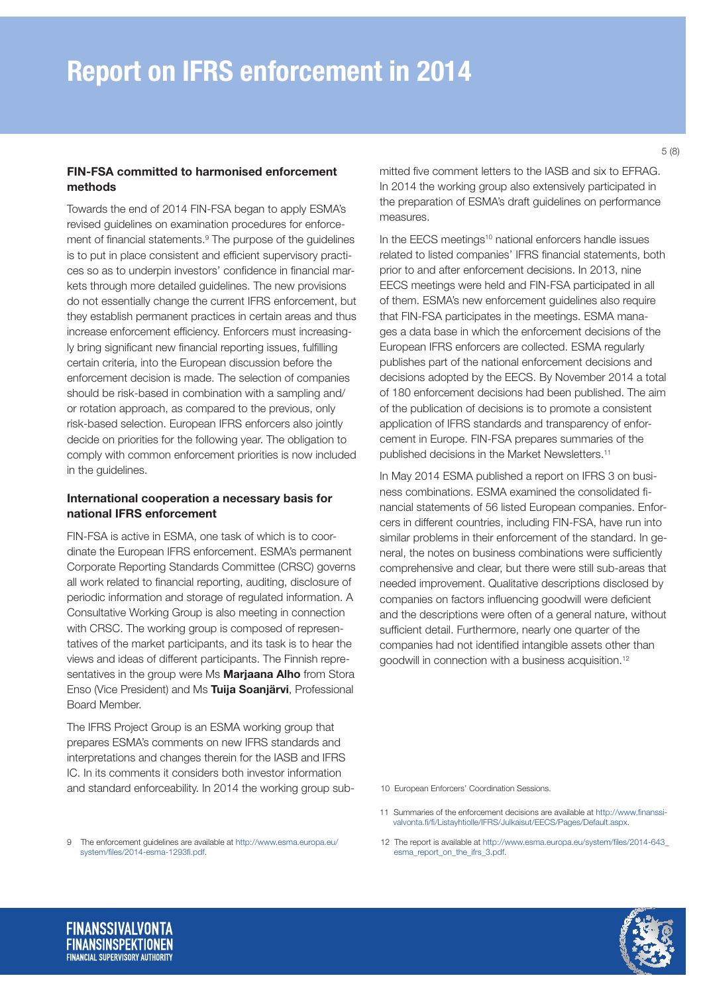#### FIN-FSA committed to harmonised enforcement methods

Towards the end of 2014 FIN-FSA began to apply ESMA's revised guidelines on examination procedures for enforcement of financial statements.<sup>9</sup> The purpose of the guidelines is to put in place consistent and efficient supervisory practices so as to underpin investors' confidence in financial markets through more detailed guidelines. The new provisions do not essentially change the current IFRS enforcement, but they establish permanent practices in certain areas and thus increase enforcement efficiency. Enforcers must increasingly bring significant new financial reporting issues, fulfilling certain criteria, into the European discussion before the enforcement decision is made. The selection of companies should be risk-based in combination with a sampling and/ or rotation approach, as compared to the previous, only risk-based selection. European IFRS enforcers also jointly decide on priorities for the following year. The obligation to comply with common enforcement priorities is now included in the guidelines.

#### International cooperation a necessary basis for national IFRS enforcement

FIN-FSA is active in ESMA, one task of which is to coordinate the European IFRS enforcement. ESMA's permanent Corporate Reporting Standards Committee (CRSC) governs all work related to financial reporting, auditing, disclosure of periodic information and storage of regulated information. A Consultative Working Group is also meeting in connection with CRSC. The working group is composed of representatives of the market participants, and its task is to hear the views and ideas of different participants. The Finnish representatives in the group were Ms Marjaana Alho from Stora Enso (Vice President) and Ms Tuija Soanjärvi, Professional Board Member.

The IFRS Project Group is an ESMA working group that prepares ESMA's comments on new IFRS standards and interpretations and changes therein for the IASB and IFRS IC. In its comments it considers both investor information and standard enforceability. In 2014 the working group submitted five comment letters to the IASB and six to EFRAG. In 2014 the working group also extensively participated in the preparation of ESMA's draft guidelines on performance measures.

In the EECS meetings<sup>10</sup> national enforcers handle issues related to listed companies' IFRS financial statements, both prior to and after enforcement decisions. In 2013, nine EECS meetings were held and FIN-FSA participated in all of them. ESMA's new enforcement guidelines also require that FIN-FSA participates in the meetings. ESMA manages a data base in which the enforcement decisions of the European IFRS enforcers are collected. ESMA regularly publishes part of the national enforcement decisions and decisions adopted by the EECS. By November 2014 a total of 180 enforcement decisions had been published. The aim of the publication of decisions is to promote a consistent application of IFRS standards and transparency of enforcement in Europe. FIN-FSA prepares summaries of the published decisions in the Market Newsletters.11

In May 2014 ESMA published a report on IFRS 3 on business combinations. ESMA examined the consolidated financial statements of 56 listed European companies. Enforcers in different countries, including FIN-FSA, have run into similar problems in their enforcement of the standard. In general, the notes on business combinations were sufficiently comprehensive and clear, but there were still sub-areas that needed improvement. Qualitative descriptions disclosed by companies on factors influencing goodwill were deficient and the descriptions were often of a general nature, without sufficient detail. Furthermore, nearly one quarter of the companies had not identified intangible assets other than goodwill in connection with a business acquisition.12

10 European Enforcers' Coordination Sessions.

- 11 Summaries of the enforcement decisions are available at [http://www.finanssi](http://www.finanssivalvonta.fi/fi/Listayhtiolle/IFRS/Julkaisut/EECS/Pages/Default.aspx)[valvonta.fi/fi/Listayhtiolle/IFRS/Julkaisut/EECS/Pages/Default.aspx](http://www.finanssivalvonta.fi/fi/Listayhtiolle/IFRS/Julkaisut/EECS/Pages/Default.aspx).
- 12 The report is available at [http://www.esma.europa.eu/system/files/2014-643\\_](http://www.esma.europa.eu/system/files/2014-643_esma_report_on_the_ifrs_3.pdf) [esma\\_report\\_on\\_the\\_ifrs\\_3.pdf](http://www.esma.europa.eu/system/files/2014-643_esma_report_on_the_ifrs_3.pdf).



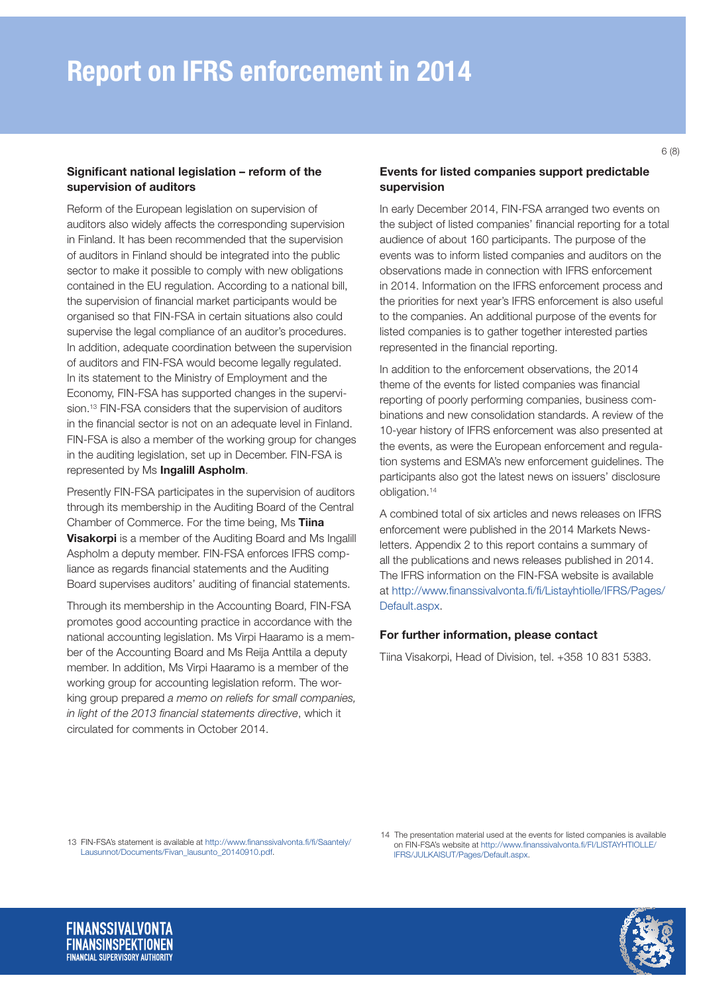### Significant national legislation – reform of the supervision of auditors

Reform of the European legislation on supervision of auditors also widely affects the corresponding supervision in Finland. It has been recommended that the supervision of auditors in Finland should be integrated into the public sector to make it possible to comply with new obligations contained in the EU regulation. According to a national bill, the supervision of financial market participants would be organised so that FIN-FSA in certain situations also could supervise the legal compliance of an auditor's procedures. In addition, adequate coordination between the supervision of auditors and FIN-FSA would become legally regulated. In its statement to the Ministry of Employment and the Economy, FIN-FSA has supported changes in the supervision.<sup>13</sup> FIN-FSA considers that the supervision of auditors in the financial sector is not on an adequate level in Finland. FIN-FSA is also a member of the working group for changes in the auditing legislation, set up in December. FIN-FSA is represented by Ms Ingalill Aspholm.

Presently FIN-FSA participates in the supervision of auditors through its membership in the Auditing Board of the Central Chamber of Commerce. For the time being, Ms Tiina **Visakorpi** is a member of the Auditing Board and Ms Ingalill Aspholm a deputy member. FIN-FSA enforces IFRS compliance as regards financial statements and the Auditing Board supervises auditors' auditing of financial statements.

Through its membership in the Accounting Board, FIN-FSA promotes good accounting practice in accordance with the national accounting legislation. Ms Virpi Haaramo is a member of the Accounting Board and Ms Reija Anttila a deputy member. In addition, Ms Virpi Haaramo is a member of the working group for accounting legislation reform. The working group prepared *a memo on reliefs for small companies, in light of the 2013 financial statements directive*, which it circulated for comments in October 2014.

# Events for listed companies support predictable supervision

In early December 2014, FIN-FSA arranged two events on the subject of listed companies' financial reporting for a total audience of about 160 participants. The purpose of the events was to inform listed companies and auditors on the observations made in connection with IFRS enforcement in 2014. Information on the IFRS enforcement process and the priorities for next year's IFRS enforcement is also useful to the companies. An additional purpose of the events for listed companies is to gather together interested parties represented in the financial reporting.

In addition to the enforcement observations, the 2014 theme of the events for listed companies was financial reporting of poorly performing companies, business combinations and new consolidation standards. A review of the 10-year history of IFRS enforcement was also presented at the events, as were the European enforcement and regulation systems and ESMA's new enforcement guidelines. The participants also got the latest news on issuers' disclosure obligation.14

A combined total of six articles and news releases on IFRS enforcement were published in the 2014 Markets Newsletters. Appendix 2 to this report contains a summary of all the publications and news releases published in 2014. The IFRS information on the FIN-FSA website is available at [http://www.finanssivalvonta.fi/fi/Listayhtiolle/IFRS/Pages/](http://www.finanssivalvonta.fi/fi/Listayhtiolle/IFRS/Pages/Default.aspx) [Default.aspx](http://www.finanssivalvonta.fi/fi/Listayhtiolle/IFRS/Pages/Default.aspx).

### For further information, please contact

Tiina Visakorpi, Head of Division, tel. +358 10 831 5383.

13 FIN-FSA's statement is available at http://www.finanssivalvonta.fi/fi/Saantely/ Lausunnot/Documents/Fivan\_lausunto\_20140910.pdf.

14 The presentation material used at the events for listed companies is available on FIN-FSA's website at [http://www.finanssivalvonta.fi/FI/LISTAYHTIOLLE/](http://www.finanssivalvonta.fi/FI/LISTAYHTIOLLE/IFRS/JULKAISUT/Pages/Default.aspx) [IFRS/JULKAISUT/Pages/Default.aspx](http://www.finanssivalvonta.fi/FI/LISTAYHTIOLLE/IFRS/JULKAISUT/Pages/Default.aspx).

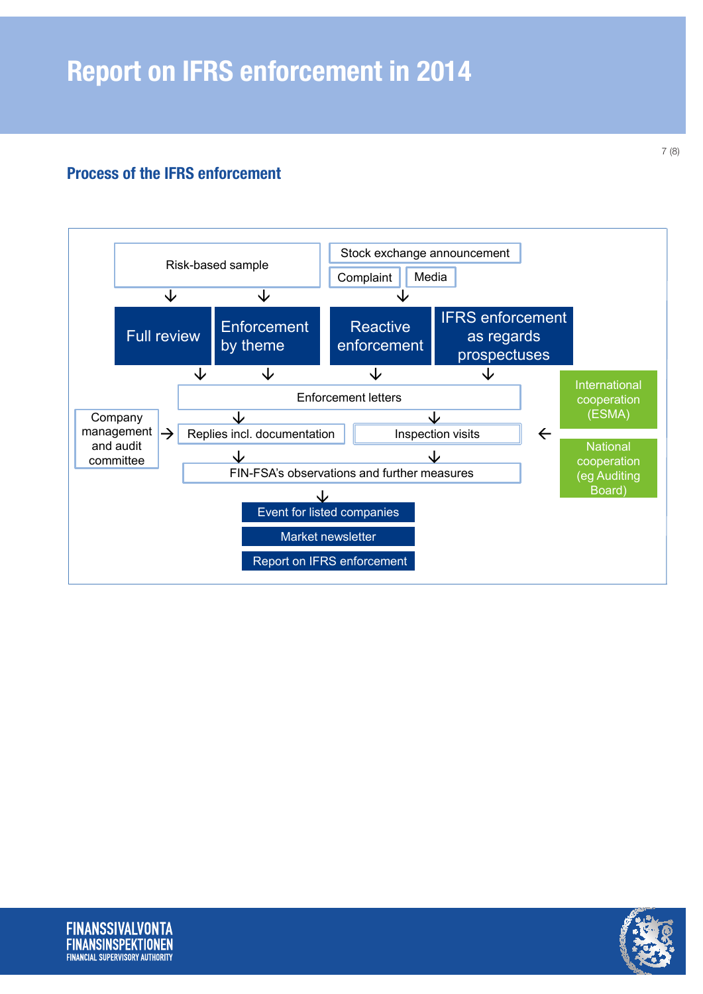# Process of the IFRS enforcement